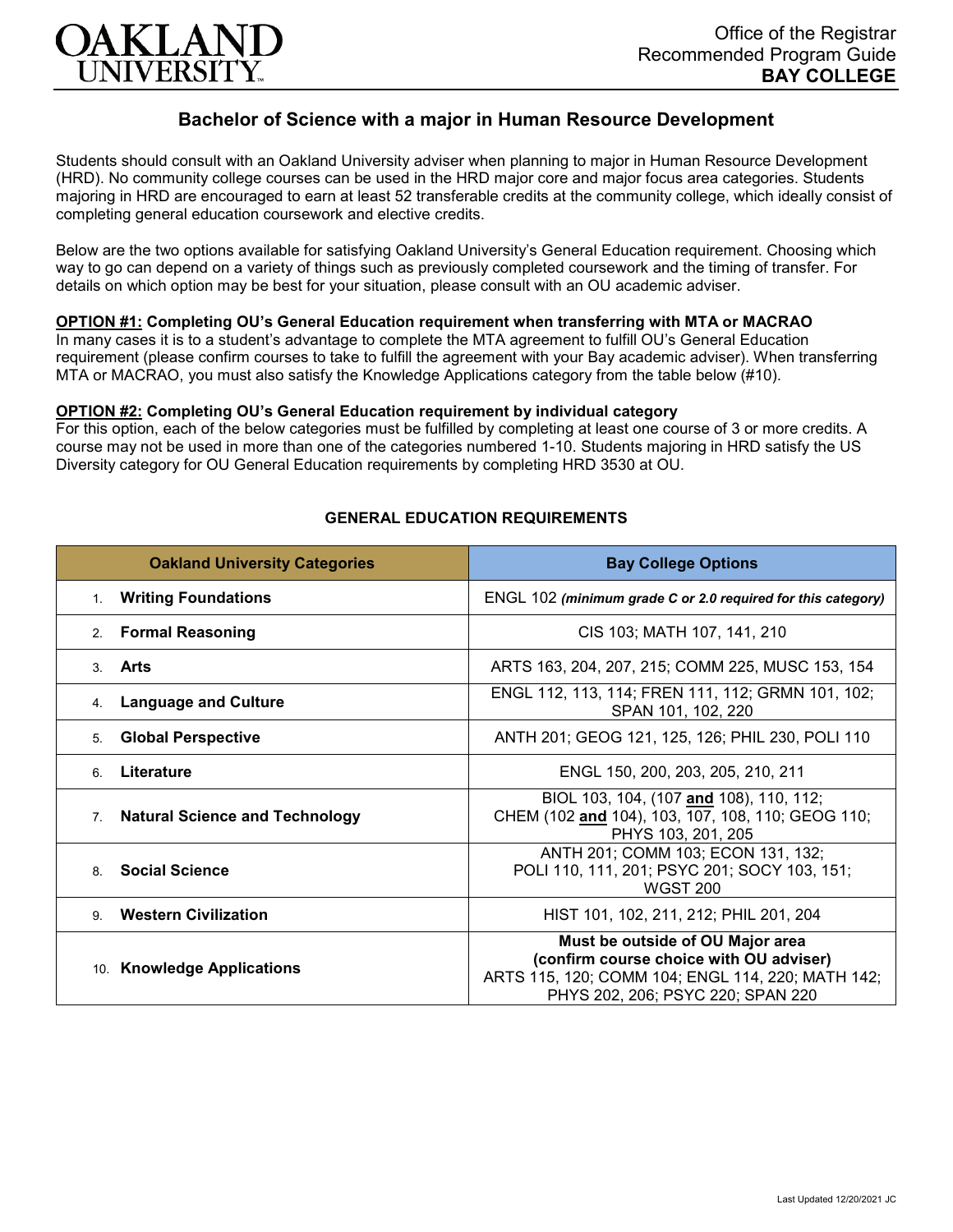

# **Bachelor of Science with a major in Human Resource Development**

Students should consult with an Oakland University adviser when planning to major in Human Resource Development (HRD). No community college courses can be used in the HRD major core and major focus area categories. Students majoring in HRD are encouraged to earn at least 52 transferable credits at the community college, which ideally consist of completing general education coursework and elective credits.

Below are the two options available for satisfying Oakland University's General Education requirement. Choosing which way to go can depend on a variety of things such as previously completed coursework and the timing of transfer. For details on which option may be best for your situation, please consult with an OU academic adviser.

### **OPTION #1: Completing OU's General Education requirement when transferring with MTA or MACRAO**

In many cases it is to a student's advantage to complete the MTA agreement to fulfill OU's General Education requirement (please confirm courses to take to fulfill the agreement with your Bay academic adviser). When transferring MTA or MACRAO, you must also satisfy the Knowledge Applications category from the table below (#10).

#### **OPTION #2: Completing OU's General Education requirement by individual category**

For this option, each of the below categories must be fulfilled by completing at least one course of 3 or more credits. A course may not be used in more than one of the categories numbered 1-10. Students majoring in HRD satisfy the US Diversity category for OU General Education requirements by completing HRD 3530 at OU.

| <b>Oakland University Categories</b>        | <b>Bay College Options</b>                                                                                                                                            |
|---------------------------------------------|-----------------------------------------------------------------------------------------------------------------------------------------------------------------------|
| <b>Writing Foundations</b><br>1.            | ENGL 102 (minimum grade C or 2.0 required for this category)                                                                                                          |
| <b>Formal Reasoning</b><br>2.               | CIS 103; MATH 107, 141, 210                                                                                                                                           |
| Arts<br>3.                                  | ARTS 163, 204, 207, 215; COMM 225, MUSC 153, 154                                                                                                                      |
| <b>Language and Culture</b><br>4.           | ENGL 112, 113, 114; FREN 111, 112; GRMN 101, 102;<br>SPAN 101, 102, 220                                                                                               |
| <b>Global Perspective</b><br>5.             | ANTH 201; GEOG 121, 125, 126; PHIL 230, POLI 110                                                                                                                      |
| Literature<br>6                             | ENGL 150, 200, 203, 205, 210, 211                                                                                                                                     |
| <b>Natural Science and Technology</b><br>7. | BIOL 103, 104, (107 and 108), 110, 112;<br>CHEM (102 and 104), 103, 107, 108, 110; GEOG 110;<br>PHYS 103, 201, 205                                                    |
| <b>Social Science</b><br>8.                 | ANTH 201; COMM 103; ECON 131, 132;<br>POLI 110, 111, 201; PSYC 201; SOCY 103, 151;<br><b>WGST 200</b>                                                                 |
| <b>Western Civilization</b><br>9            | HIST 101, 102, 211, 212; PHIL 201, 204                                                                                                                                |
| 10. Knowledge Applications                  | Must be outside of OU Major area<br>(confirm course choice with OU adviser)<br>ARTS 115, 120; COMM 104; ENGL 114, 220; MATH 142;<br>PHYS 202, 206; PSYC 220; SPAN 220 |

#### **GENERAL EDUCATION REQUIREMENTS**